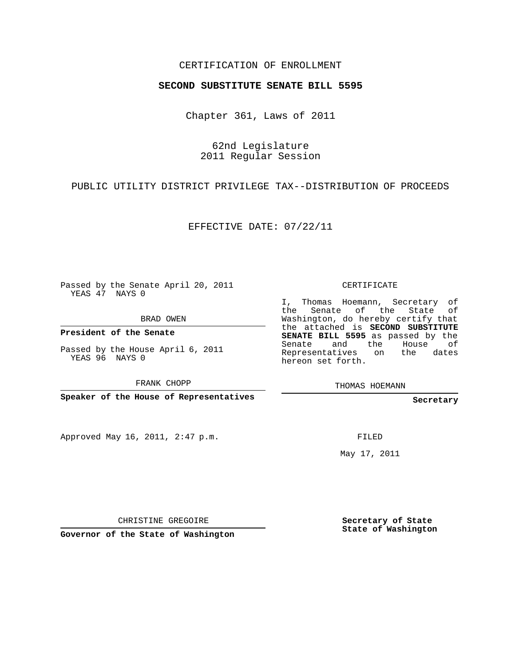## CERTIFICATION OF ENROLLMENT

## **SECOND SUBSTITUTE SENATE BILL 5595**

Chapter 361, Laws of 2011

62nd Legislature 2011 Regular Session

PUBLIC UTILITY DISTRICT PRIVILEGE TAX--DISTRIBUTION OF PROCEEDS

EFFECTIVE DATE: 07/22/11

Passed by the Senate April 20, 2011 YEAS 47 NAYS 0

BRAD OWEN

**President of the Senate**

Passed by the House April 6, 2011 YEAS 96 NAYS 0

FRANK CHOPP

**Speaker of the House of Representatives**

Approved May 16, 2011, 2:47 p.m.

CERTIFICATE

I, Thomas Hoemann, Secretary of the Senate of the State of Washington, do hereby certify that the attached is **SECOND SUBSTITUTE SENATE BILL 5595** as passed by the Senate and the House of Representatives on the dates hereon set forth.

THOMAS HOEMANN

**Secretary**

FILED

May 17, 2011

CHRISTINE GREGOIRE

**Governor of the State of Washington**

**Secretary of State State of Washington**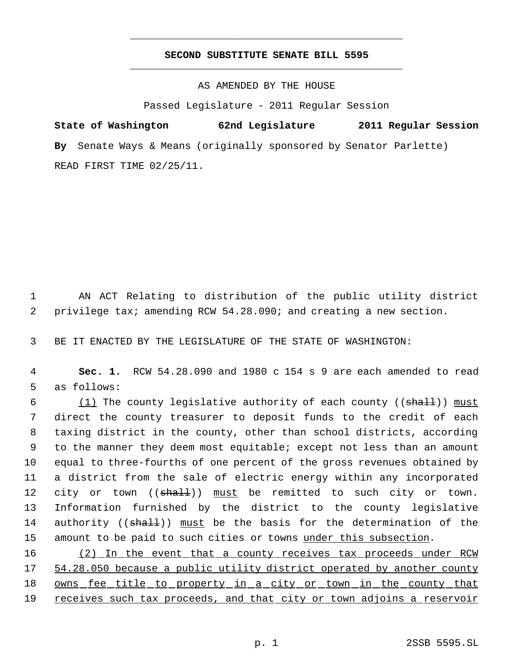## **SECOND SUBSTITUTE SENATE BILL 5595** \_\_\_\_\_\_\_\_\_\_\_\_\_\_\_\_\_\_\_\_\_\_\_\_\_\_\_\_\_\_\_\_\_\_\_\_\_\_\_\_\_\_\_\_\_

\_\_\_\_\_\_\_\_\_\_\_\_\_\_\_\_\_\_\_\_\_\_\_\_\_\_\_\_\_\_\_\_\_\_\_\_\_\_\_\_\_\_\_\_\_

AS AMENDED BY THE HOUSE

Passed Legislature - 2011 Regular Session

**State of Washington 62nd Legislature 2011 Regular Session By** Senate Ways & Means (originally sponsored by Senator Parlette) READ FIRST TIME 02/25/11.

 1 AN ACT Relating to distribution of the public utility district 2 privilege tax; amending RCW 54.28.090; and creating a new section.

3 BE IT ENACTED BY THE LEGISLATURE OF THE STATE OF WASHINGTON:

 4 **Sec. 1.** RCW 54.28.090 and 1980 c 154 s 9 are each amended to read 5 as follows:

 $(1)$  The county legislative authority of each county (( $shall$ )) must direct the county treasurer to deposit funds to the credit of each taxing district in the county, other than school districts, according to the manner they deem most equitable; except not less than an amount equal to three-fourths of one percent of the gross revenues obtained by a district from the sale of electric energy within any incorporated 12 city or town ((shall)) must be remitted to such city or town. Information furnished by the district to the county legislative 14 authority ((shall)) must be the basis for the determination of the 15 amount to be paid to such cities or towns under this subsection.

16 (2) In the event that a county receives tax proceeds under RCW 17 54.28.050 because a public utility district operated by another county 18 owns fee title to property in a city or town in the county that 19 receives such tax proceeds, and that city or town adjoins a reservoir